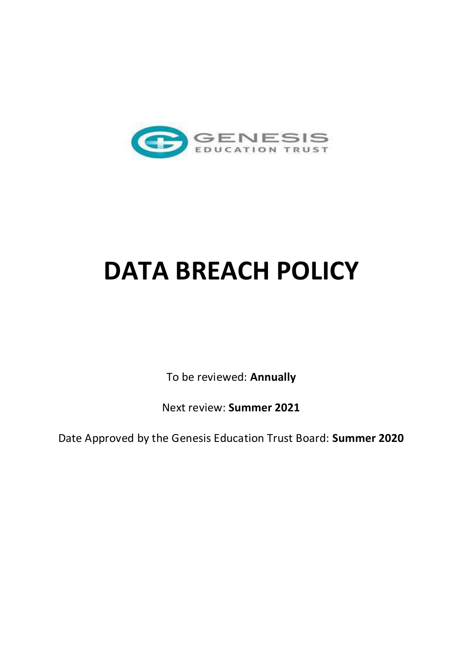

# **DATA BREACH POLICY**

To be reviewed: **Annually** 

Next review: **Summer 2021** 

Date Approved by the Genesis Education Trust Board: **Summer 2020**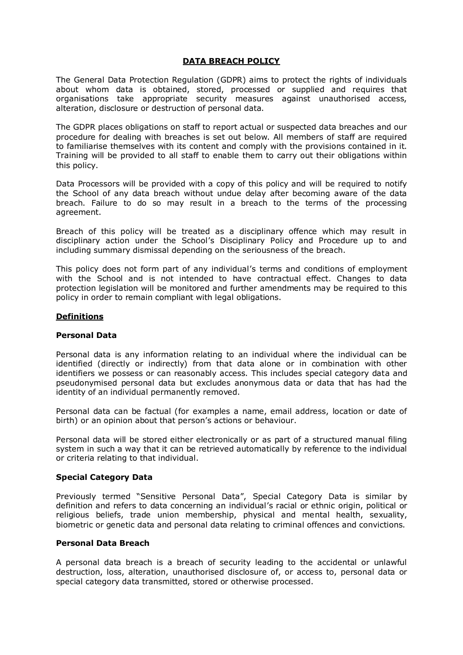## **DATA BREACH POLICY**

The General Data Protection Regulation (GDPR) aims to protect the rights of individuals about whom data is obtained, stored, processed or supplied and requires that organisations take appropriate security measures against unauthorised access, alteration, disclosure or destruction of personal data.

The GDPR places obligations on staff to report actual or suspected data breaches and our procedure for dealing with breaches is set out below. All members of staff are required to familiarise themselves with its content and comply with the provisions contained in it. Training will be provided to all staff to enable them to carry out their obligations within this policy.

Data Processors will be provided with a copy of this policy and will be required to notify the School of any data breach without undue delay after becoming aware of the data breach. Failure to do so may result in a breach to the terms of the processing agreement.

Breach of this policy will be treated as a disciplinary offence which may result in disciplinary action under the School's Disciplinary Policy and Procedure up to and including summary dismissal depending on the seriousness of the breach.

This policy does not form part of any individual's terms and conditions of employment with the School and is not intended to have contractual effect. Changes to data protection legislation will be monitored and further amendments may be required to this policy in order to remain compliant with legal obligations.

# **Definitions**

## **Personal Data**

Personal data is any information relating to an individual where the individual can be identified (directly or indirectly) from that data alone or in combination with other identifiers we possess or can reasonably access. This includes special category data and pseudonymised personal data but excludes anonymous data or data that has had the identity of an individual permanently removed.

Personal data can be factual (for examples a name, email address, location or date of birth) or an opinion about that person's actions or behaviour.

Personal data will be stored either electronically or as part of a structured manual filing system in such a way that it can be retrieved automatically by reference to the individual or criteria relating to that individual.

## **Special Category Data**

Previously termed "Sensitive Personal Data", Special Category Data is similar by definition and refers to data concerning an individual's racial or ethnic origin, political or religious beliefs, trade union membership, physical and mental health, sexuality, biometric or genetic data and personal data relating to criminal offences and convictions.

# **Personal Data Breach**

A personal data breach is a breach of security leading to the accidental or unlawful destruction, loss, alteration, unauthorised disclosure of, or access to, personal data or special category data transmitted, stored or otherwise processed.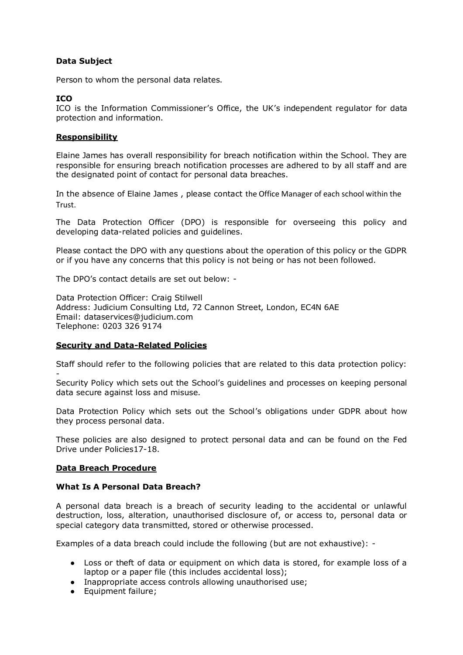# **Data Subject**

Person to whom the personal data relates.

## **ICO**

ICO is the Information Commissioner's Office, the UK's independent regulator for data protection and information.

## **Responsibility**

Elaine James has overall responsibility for breach notification within the School. They are responsible for ensuring breach notification processes are adhered to by all staff and are the designated point of contact for personal data breaches.

In the absence of Elaine James , please contact the Office Manager of each school within the Trust.

The Data Protection Officer (DPO) is responsible for overseeing this policy and developing data-related policies and guidelines.

Please contact the DPO with any questions about the operation of this policy or the GDPR or if you have any concerns that this policy is not being or has not been followed.

The DPO's contact details are set out below: -

Data Protection Officer: Craig Stilwell Address: Judicium Consulting Ltd, 72 Cannon Street, London, EC4N 6AE Email: [dataservices@judicium.com](mailto:dataservices@judicium.com)  Telephone: 0203 326 9174

## **Security and Data-Related Policies**

Staff should refer to the following policies that are related to this data protection policy: -

Security Policy which sets out the School's guidelines and processes on keeping personal data secure against loss and misuse.

Data Protection Policy which sets out the School's obligations under GDPR about how they process personal data.

These policies are also designed to protect personal data and can be found on the Fed Drive under Policies17-18.

## **Data Breach Procedure**

## **What Is A Personal Data Breach?**

A personal data breach is a breach of security leading to the accidental or unlawful destruction, loss, alteration, unauthorised disclosure of, or access to, personal data or special category data transmitted, stored or otherwise processed.

Examples of a data breach could include the following (but are not exhaustive): -

- Loss or theft of data or equipment on which data is stored, for example loss of a laptop or a paper file (this includes accidental loss);
- Inappropriate access controls allowing unauthorised use;
- Equipment failure;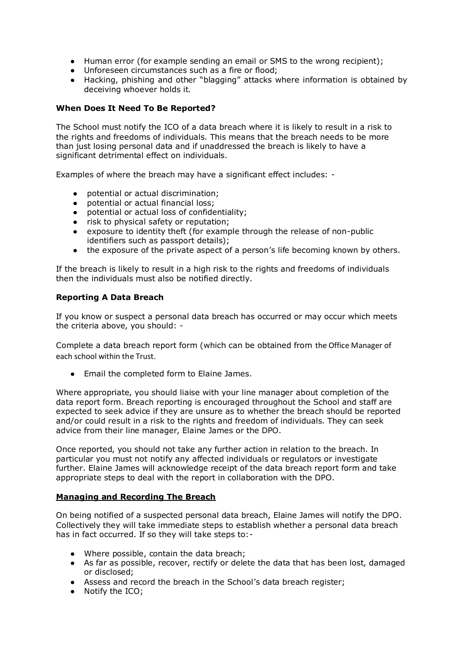- Human error (for example sending an email or SMS to the wrong recipient);
- Unforeseen circumstances such as a fire or flood;
- Hacking, phishing and other "blagging" attacks where information is obtained by deceiving whoever holds it.

# **When Does It Need To Be Reported?**

The School must notify the ICO of a data breach where it is likely to result in a risk to the rights and freedoms of individuals. This means that the breach needs to be more than just losing personal data and if unaddressed the breach is likely to have a significant detrimental effect on individuals.

Examples of where the breach may have a significant effect includes: -

- potential or actual discrimination;
- potential or actual financial loss:
- potential or actual loss of confidentiality;
- risk to physical safety or reputation;
- exposure to identity theft (for example through the release of non-public identifiers such as passport details);
- the exposure of the private aspect of a person's life becoming known by others.

If the breach is likely to result in a high risk to the rights and freedoms of individuals then the individuals must also be notified directly.

## **Reporting A Data Breach**

If you know or suspect a personal data breach has occurred or may occur which meets the criteria above, you should: -

Complete a data breach report form (which can be obtained from the Office Manager of each school within the Trust.

● Email the completed form to Elaine James.

Where appropriate, you should liaise with your line manager about completion of the data report form. Breach reporting is encouraged throughout the School and staff are expected to seek advice if they are unsure as to whether the breach should be reported and/or could result in a risk to the rights and freedom of individuals. They can seek advice from their line manager, Elaine James or the DPO.

Once reported, you should not take any further action in relation to the breach. In particular you must not notify any affected individuals or regulators or investigate further. Elaine James will acknowledge receipt of the data breach report form and take appropriate steps to deal with the report in collaboration with the DPO.

## **Managing and Recording The Breach**

On being notified of a suspected personal data breach, Elaine James will notify the DPO. Collectively they will take immediate steps to establish whether a personal data breach has in fact occurred. If so they will take steps to:-

- Where possible, contain the data breach;
- As far as possible, recover, rectify or delete the data that has been lost, damaged or disclosed;
- Assess and record the breach in the School's data breach register;
- Notify the ICO;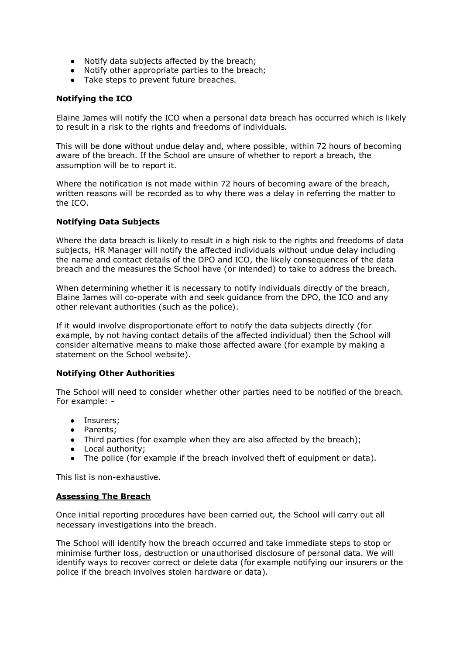- Notify data subjects affected by the breach;
- Notify other appropriate parties to the breach;
- Take steps to prevent future breaches.

# **Notifying the ICO**

Elaine James will notify the ICO when a personal data breach has occurred which is likely to result in a risk to the rights and freedoms of individuals.

This will be done without undue delay and, where possible, within 72 hours of becoming aware of the breach. If the School are unsure of whether to report a breach, the assumption will be to report it.

Where the notification is not made within 72 hours of becoming aware of the breach, written reasons will be recorded as to why there was a delay in referring the matter to the ICO.

# **Notifying Data Subjects**

Where the data breach is likely to result in a high risk to the rights and freedoms of data subjects, HR Manager will notify the affected individuals without undue delay including the name and contact details of the DPO and ICO, the likely consequences of the data breach and the measures the School have (or intended) to take to address the breach.

When determining whether it is necessary to notify individuals directly of the breach, Elaine James will co-operate with and seek guidance from the DPO, the ICO and any other relevant authorities (such as the police).

If it would involve disproportionate effort to notify the data subjects directly (for example, by not having contact details of the affected individual) then the School will consider alternative means to make those affected aware (for example by making a statement on the School website).

## **Notifying Other Authorities**

The School will need to consider whether other parties need to be notified of the breach. For example: -

- Insurers;
- Parents;
- Third parties (for example when they are also affected by the breach);
- Local authority;
- The police (for example if the breach involved theft of equipment or data).

This list is non-exhaustive.

## **Assessing The Breach**

Once initial reporting procedures have been carried out, the School will carry out all necessary investigations into the breach.

The School will identify how the breach occurred and take immediate steps to stop or minimise further loss, destruction or unauthorised disclosure of personal data. We will identify ways to recover correct or delete data (for example notifying our insurers or the police if the breach involves stolen hardware or data).